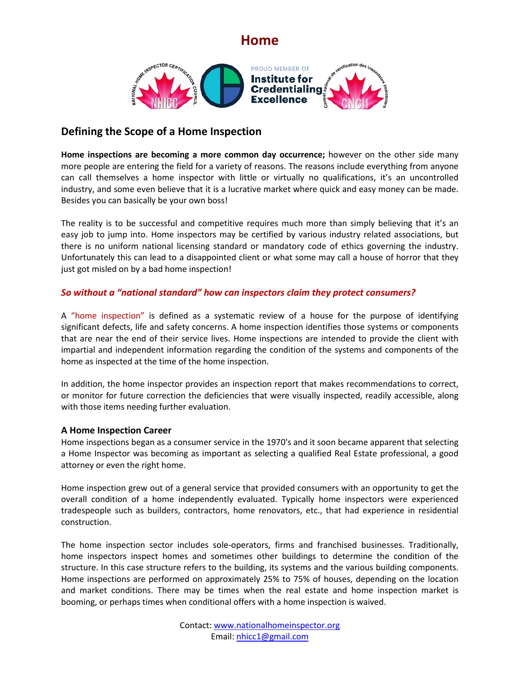

### **Defining the Scope of a Home Inspection**

**Home inspections are becoming a more common day occurrence;** however on the other side many more people are entering the field for a variety of reasons. The reasons include everything from anyone can call themselves a home inspector with little or virtually no qualifications, it's an uncontrolled industry, and some even believe that it is a lucrative market where quick and easy money can be made. Besides you can basically be your own boss!

The reality is to be successful and competitive requires much more than simply believing that it's an easy job to jump into. Home inspectors may be certified by various industry related associations, but there is no uniform national licensing standard or mandatory code of ethics governing the industry. Unfortunately this can lead to a disappointed client or what some may call a house of horror that they just got misled on by a bad home inspection!

### *So without a "national standard" how can inspectors claim they protect consumers?*

A "home inspection" is defined as a systematic review of a house for the purpose of identifying significant defects, life and safety concerns. A home inspection identifies those systems or components that are near the end of their service lives. Home inspections are intended to provide the client with impartial and independent information regarding the condition of the systems and components of the home as inspected at the time of the home inspection.

In addition, the home inspector provides an inspection report that makes recommendations to correct, or monitor for future correction the deficiencies that were visually inspected, readily accessible, along with those items needing further evaluation.

### **A Home Inspection Career**

Home inspections began as a consumer service in the 1970's and it soon became apparent that selecting a Home Inspector was becoming as important as selecting a qualified Real Estate professional, a good attorney or even the right home.

Home inspection grew out of a general service that provided consumers with an opportunity to get the overall condition of a home independently evaluated. Typically home inspectors were experienced tradespeople such as builders, contractors, home renovators, etc., that had experience in residential construction.

The home inspection sector includes sole-operators, firms and franchised businesses. Traditionally, home inspectors inspect homes and sometimes other buildings to determine the condition of the structure. In this case structure refers to the building, its systems and the various building components. Home inspections are performed on approximately 25% to 75% of houses, depending on the location and market conditions. There may be times when the real estate and home inspection market is booming, or perhaps times when conditional offers with a home inspection is waived.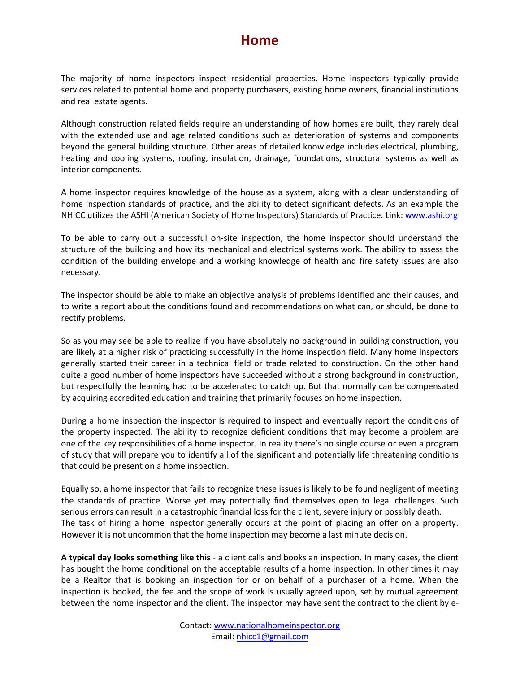The majority of home inspectors inspect residential properties. Home inspectors typically provide services related to potential home and property purchasers, existing home owners, financial institutions and real estate agents.

Although construction related fields require an understanding of how homes are built, they rarely deal with the extended use and age related conditions such as deterioration of systems and components beyond the general building structure. Other areas of detailed knowledge includes electrical, plumbing, heating and cooling systems, roofing, insulation, drainage, foundations, structural systems as well as interior components.

A home inspector requires knowledge of the house as a system, along with a clear understanding of home inspection standards of practice, and the ability to detect significant defects. As an example the NHICC utilizes the ASHI (American Society of Home Inspectors) Standards of Practice. Link: www.ashi.org

To be able to carry out a successful on-site inspection, the home inspector should understand the structure of the building and how its mechanical and electrical systems work. The ability to assess the condition of the building envelope and a working knowledge of health and fire safety issues are also necessary.

The inspector should be able to make an objective analysis of problems identified and their causes, and to write a report about the conditions found and recommendations on what can, or should, be done to rectify problems.

So as you may see be able to realize if you have absolutely no background in building construction, you are likely at a higher risk of practicing successfully in the home inspection field. Many home inspectors generally started their career in a technical field or trade related to construction. On the other hand quite a good number of home inspectors have succeeded without a strong background in construction, but respectfully the learning had to be accelerated to catch up. But that normally can be compensated by acquiring accredited education and training that primarily focuses on home inspection.

During a home inspection the inspector is required to inspect and eventually report the conditions of the property inspected. The ability to recognize deficient conditions that may become a problem are one of the key responsibilities of a home inspector. In reality there's no single course or even a program of study that will prepare you to identify all of the significant and potentially life threatening conditions that could be present on a home inspection.

Equally so, a home inspector that fails to recognize these issues is likely to be found negligent of meeting the standards of practice. Worse yet may potentially find themselves open to legal challenges. Such serious errors can result in a catastrophic financial loss for the client, severe injury or possibly death. The task of hiring a home inspector generally occurs at the point of placing an offer on a property. However it is not uncommon that the home inspection may become a last minute decision.

**A typical day looks something like this** - a client calls and books an inspection. In many cases, the client has bought the home conditional on the acceptable results of a home inspection. In other times it may be a Realtor that is booking an inspection for or on behalf of a purchaser of a home. When the inspection is booked, the fee and the scope of work is usually agreed upon, set by mutual agreement between the home inspector and the client. The inspector may have sent the contract to the client by e-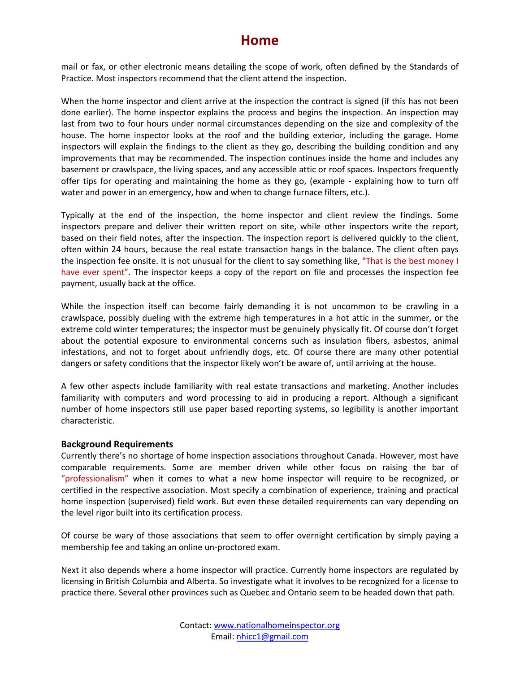mail or fax, or other electronic means detailing the scope of work, often defined by the Standards of Practice. Most inspectors recommend that the client attend the inspection.

When the home inspector and client arrive at the inspection the contract is signed (if this has not been done earlier). The home inspector explains the process and begins the inspection. An inspection may last from two to four hours under normal circumstances depending on the size and complexity of the house. The home inspector looks at the roof and the building exterior, including the garage. Home inspectors will explain the findings to the client as they go, describing the building condition and any improvements that may be recommended. The inspection continues inside the home and includes any basement or crawlspace, the living spaces, and any accessible attic or roof spaces. Inspectors frequently offer tips for operating and maintaining the home as they go, (example - explaining how to turn off water and power in an emergency, how and when to change furnace filters, etc.).

Typically at the end of the inspection, the home inspector and client review the findings. Some inspectors prepare and deliver their written report on site, while other inspectors write the report, based on their field notes, after the inspection. The inspection report is delivered quickly to the client, often within 24 hours, because the real estate transaction hangs in the balance. The client often pays the inspection fee onsite. It is not unusual for the client to say something like, "That is the best money I have ever spent". The inspector keeps a copy of the report on file and processes the inspection fee payment, usually back at the office.

While the inspection itself can become fairly demanding it is not uncommon to be crawling in a crawlspace, possibly dueling with the extreme high temperatures in a hot attic in the summer, or the extreme cold winter temperatures; the inspector must be genuinely physically fit. Of course don't forget about the potential exposure to environmental concerns such as insulation fibers, asbestos, animal infestations, and not to forget about unfriendly dogs, etc. Of course there are many other potential dangers or safety conditions that the inspector likely won't be aware of, until arriving at the house.

A few other aspects include familiarity with real estate transactions and marketing. Another includes familiarity with computers and word processing to aid in producing a report. Although a significant number of home inspectors still use paper based reporting systems, so legibility is another important characteristic.

#### **Background Requirements**

Currently there's no shortage of home inspection associations throughout Canada. However, most have comparable requirements. Some are member driven while other focus on raising the bar of "professionalism" when it comes to what a new home inspector will require to be recognized, or certified in the respective association. Most specify a combination of experience, training and practical home inspection (supervised) field work. But even these detailed requirements can vary depending on the level rigor built into its certification process.

Of course be wary of those associations that seem to offer overnight certification by simply paying a membership fee and taking an online un-proctored exam.

Next it also depends where a home inspector will practice. Currently home inspectors are regulated by licensing in British Columbia and Alberta. So investigate what it involves to be recognized for a license to practice there. Several other provinces such as Quebec and Ontario seem to be headed down that path.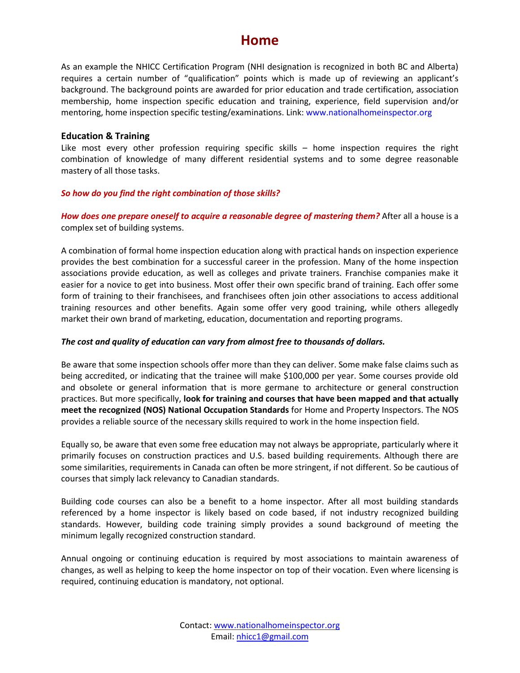As an example the NHICC Certification Program (NHI designation is recognized in both BC and Alberta) requires a certain number of "qualification" points which is made up of reviewing an applicant's background. The background points are awarded for prior education and trade certification, association membership, home inspection specific education and training, experience, field supervision and/or mentoring, home inspection specific testing/examinations. Link: www.nationalhomeinspector.org

#### **Education & Training**

Like most every other profession requiring specific skills – home inspection requires the right combination of knowledge of many different residential systems and to some degree reasonable mastery of all those tasks.

#### *So how do you find the right combination of those skills?*

*How does one prepare oneself to acquire a reasonable degree of mastering them?* After all a house is a complex set of building systems.

A combination of formal home inspection education along with practical hands on inspection experience provides the best combination for a successful career in the profession. Many of the home inspection associations provide education, as well as colleges and private trainers. Franchise companies make it easier for a novice to get into business. Most offer their own specific brand of training. Each offer some form of training to their franchisees, and franchisees often join other associations to access additional training resources and other benefits. Again some offer very good training, while others allegedly market their own brand of marketing, education, documentation and reporting programs.

#### *The cost and quality of education can vary from almost free to thousands of dollars.*

Be aware that some inspection schools offer more than they can deliver. Some make false claims such as being accredited, or indicating that the trainee will make \$100,000 per year. Some courses provide old and obsolete or general information that is more germane to architecture or general construction practices. But more specifically, **look for training and courses that have been mapped and that actually meet the recognized (NOS) National Occupation Standards** for Home and Property Inspectors. The NOS provides a reliable source of the necessary skills required to work in the home inspection field.

Equally so, be aware that even some free education may not always be appropriate, particularly where it primarily focuses on construction practices and U.S. based building requirements. Although there are some similarities, requirements in Canada can often be more stringent, if not different. So be cautious of courses that simply lack relevancy to Canadian standards.

Building code courses can also be a benefit to a home inspector. After all most building standards referenced by a home inspector is likely based on code based, if not industry recognized building standards. However, building code training simply provides a sound background of meeting the minimum legally recognized construction standard.

Annual ongoing or continuing education is required by most associations to maintain awareness of changes, as well as helping to keep the home inspector on top of their vocation. Even where licensing is required, continuing education is mandatory, not optional.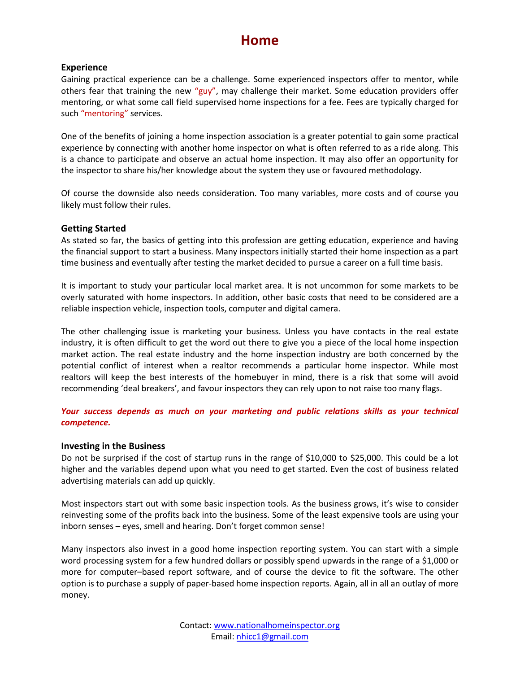#### **Experience**

Gaining practical experience can be a challenge. Some experienced inspectors offer to mentor, while others fear that training the new "guy", may challenge their market. Some education providers offer mentoring, or what some call field supervised home inspections for a fee. Fees are typically charged for such "mentoring" services.

One of the benefits of joining a home inspection association is a greater potential to gain some practical experience by connecting with another home inspector on what is often referred to as a ride along. This is a chance to participate and observe an actual home inspection. It may also offer an opportunity for the inspector to share his/her knowledge about the system they use or favoured methodology.

Of course the downside also needs consideration. Too many variables, more costs and of course you likely must follow their rules.

#### **Getting Started**

As stated so far, the basics of getting into this profession are getting education, experience and having the financial support to start a business. Many inspectors initially started their home inspection as a part time business and eventually after testing the market decided to pursue a career on a full time basis.

It is important to study your particular local market area. It is not uncommon for some markets to be overly saturated with home inspectors. In addition, other basic costs that need to be considered are a reliable inspection vehicle, inspection tools, computer and digital camera.

The other challenging issue is marketing your business. Unless you have contacts in the real estate industry, it is often difficult to get the word out there to give you a piece of the local home inspection market action. The real estate industry and the home inspection industry are both concerned by the potential conflict of interest when a realtor recommends a particular home inspector. While most realtors will keep the best interests of the homebuyer in mind, there is a risk that some will avoid recommending 'deal breakers', and favour inspectors they can rely upon to not raise too many flags.

*Your success depends as much on your marketing and public relations skills as your technical competence.* 

#### **Investing in the Business**

Do not be surprised if the cost of startup runs in the range of \$10,000 to \$25,000. This could be a lot higher and the variables depend upon what you need to get started. Even the cost of business related advertising materials can add up quickly.

Most inspectors start out with some basic inspection tools. As the business grows, it's wise to consider reinvesting some of the profits back into the business. Some of the least expensive tools are using your inborn senses – eyes, smell and hearing. Don't forget common sense!

Many inspectors also invest in a good home inspection reporting system. You can start with a simple word processing system for a few hundred dollars or possibly spend upwards in the range of a \$1,000 or more for computer–based report software, and of course the device to fit the software. The other option is to purchase a supply of paper-based home inspection reports. Again, all in all an outlay of more money.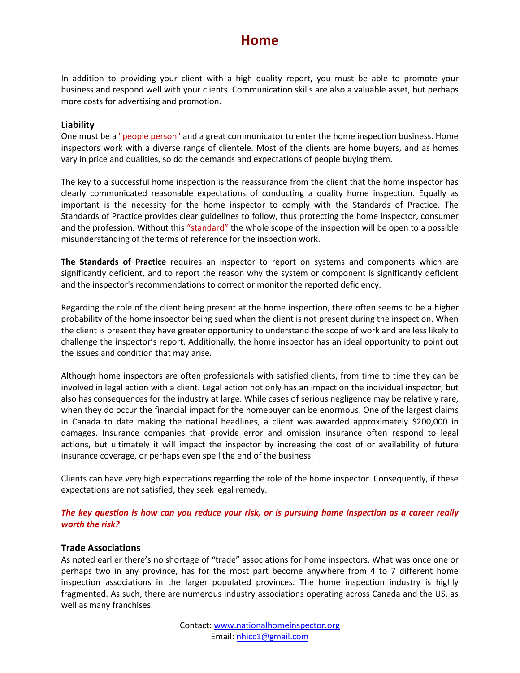In addition to providing your client with a high quality report, you must be able to promote your business and respond well with your clients. Communication skills are also a valuable asset, but perhaps more costs for advertising and promotion.

#### **Liability**

One must be a "people person" and a great communicator to enter the home inspection business. Home inspectors work with a diverse range of clientele. Most of the clients are home buyers, and as homes vary in price and qualities, so do the demands and expectations of people buying them.

The key to a successful home inspection is the reassurance from the client that the home inspector has clearly communicated reasonable expectations of conducting a quality home inspection. Equally as important is the necessity for the home inspector to comply with the Standards of Practice. The Standards of Practice provides clear guidelines to follow, thus protecting the home inspector, consumer and the profession. Without this "standard" the whole scope of the inspection will be open to a possible misunderstanding of the terms of reference for the inspection work.

**The Standards of Practice** requires an inspector to report on systems and components which are significantly deficient, and to report the reason why the system or component is significantly deficient and the inspector's recommendations to correct or monitor the reported deficiency.

Regarding the role of the client being present at the home inspection, there often seems to be a higher probability of the home inspector being sued when the client is not present during the inspection. When the client is present they have greater opportunity to understand the scope of work and are less likely to challenge the inspector's report. Additionally, the home inspector has an ideal opportunity to point out the issues and condition that may arise.

Although home inspectors are often professionals with satisfied clients, from time to time they can be involved in legal action with a client. Legal action not only has an impact on the individual inspector, but also has consequences for the industry at large. While cases of serious negligence may be relatively rare, when they do occur the financial impact for the homebuyer can be enormous. One of the largest claims in Canada to date making the national headlines, a client was awarded approximately \$200,000 in damages. Insurance companies that provide error and omission insurance often respond to legal actions, but ultimately it will impact the inspector by increasing the cost of or availability of future insurance coverage, or perhaps even spell the end of the business.

Clients can have very high expectations regarding the role of the home inspector. Consequently, if these expectations are not satisfied, they seek legal remedy.

#### *The key question is how can you reduce your risk, or is pursuing home inspection as a career really worth the risk?*

#### **Trade Associations**

As noted earlier there's no shortage of "trade" associations for home inspectors. What was once one or perhaps two in any province, has for the most part become anywhere from 4 to 7 different home inspection associations in the larger populated provinces. The home inspection industry is highly fragmented. As such, there are numerous industry associations operating across Canada and the US, as well as many franchises.

> Contact: [www.nationalhomeinspector.org](http://www.nationalhomeinspector.org/) Email[: nhicc1@gmail.com](mailto:nhicc1@gmail.com)